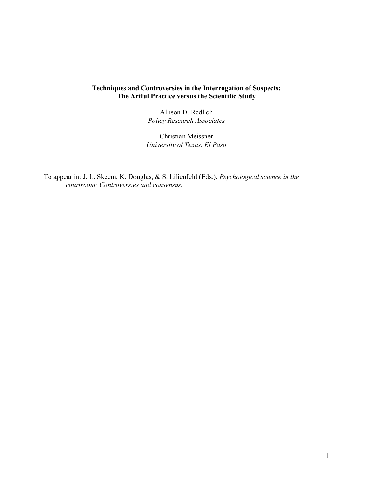# **Techniques and Controversies in the Interrogation of Suspects: The Artful Practice versus the Scientific Study**

Allison D. Redlich *Policy Research Associates* 

Christian Meissner *University of Texas, El Paso*

To appear in: J. L. Skeem, K. Douglas, & S. Lilienfeld (Eds.), *Psychological science in the courtroom: Controversies and consensus.*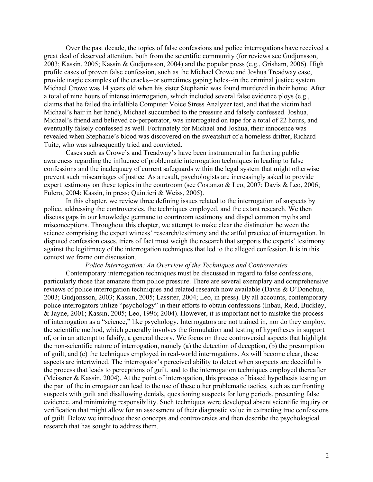Over the past decade, the topics of false confessions and police interrogations have received a great deal of deserved attention, both from the scientific community (for reviews see Gudjonsson, 2003; Kassin, 2005; Kassin & Gudjonsson, 2004) and the popular press (e.g., Grisham, 2006). High profile cases of proven false confession, such as the Michael Crowe and Joshua Treadway case, provide tragic examples of the cracks--or sometimes gaping holes--in the criminal justice system. Michael Crowe was 14 years old when his sister Stephanie was found murdered in their home. After a total of nine hours of intense interrogation, which included several false evidence ploys (e.g., claims that he failed the infallible Computer Voice Stress Analyzer test, and that the victim had Michael's hair in her hand), Michael succumbed to the pressure and falsely confessed. Joshua, Michael's friend and believed co-perpetrator, was interrogated on tape for a total of 22 hours, and eventually falsely confessed as well. Fortunately for Michael and Joshua, their innocence was revealed when Stephanie's blood was discovered on the sweatshirt of a homeless drifter, Richard Tuite, who was subsequently tried and convicted.

Cases such as Crowe's and Treadway's have been instrumental in furthering public awareness regarding the influence of problematic interrogation techniques in leading to false confessions and the inadequacy of current safeguards within the legal system that might otherwise prevent such miscarriages of justice. As a result, psychologists are increasingly asked to provide expert testimony on these topics in the courtroom (see Costanzo & Leo, 2007; Davis & Leo, 2006; Fulero, 2004; Kassin, in press; Quintieri & Weiss, 2005).

 In this chapter, we review three defining issues related to the interrogation of suspects by police, addressing the controversies, the techniques employed, and the extant research. We then discuss gaps in our knowledge germane to courtroom testimony and dispel common myths and misconceptions. Throughout this chapter, we attempt to make clear the distinction between the science comprising the expert witness' research/testimony and the artful practice of interrogation. In disputed confession cases, triers of fact must weigh the research that supports the experts' testimony against the legitimacy of the interrogation techniques that led to the alleged confession.It is in this context we frame our discussion.

#### *Police Interrogation: An Overview of the Techniques and Controversies*

Contemporary interrogation techniques must be discussed in regard to false confessions, particularly those that emanate from police pressure. There are several exemplary and comprehensive reviews of police interrogation techniques and related research now available (Davis & O'Donohue, 2003; Gudjonsson, 2003; Kassin, 2005; Lassiter, 2004; Leo, in press). By all accounts, contemporary police interrogators utilize "psychology" in their efforts to obtain confessions (Inbau, Reid, Buckley, & Jayne, 2001; Kassin, 2005; Leo, 1996; 2004). However, it is important not to mistake the process of interrogation as a "science," like psychology. Interrogators are not trained in, nor do they employ, the scientific method, which generally involves the formulation and testing of hypotheses in support of, or in an attempt to falsify, a general theory. We focus on three controversial aspects that highlight the non-scientific nature of interrogation, namely (a) the detection of deception, (b) the presumption of guilt, and (c) the techniques employed in real-world interrogations. As will become clear, these aspects are intertwined. The interrogator's perceived ability to detect when suspects are deceitful is the process that leads to perceptions of guilt, and to the interrogation techniques employed thereafter (Meissner & Kassin, 2004). At the point of interrogation, this process of biased hypothesis testing on the part of the interrogator can lead to the use of these other problematic tactics, such as confronting suspects with guilt and disallowing denials, questioning suspects for long periods, presenting false evidence, and minimizing responsibility. Such techniques were developed absent scientific inquiry or verification that might allow for an assessment of their diagnostic value in extracting true confessions of guilt. Below we introduce these concepts and controversies and then describe the psychological research that has sought to address them.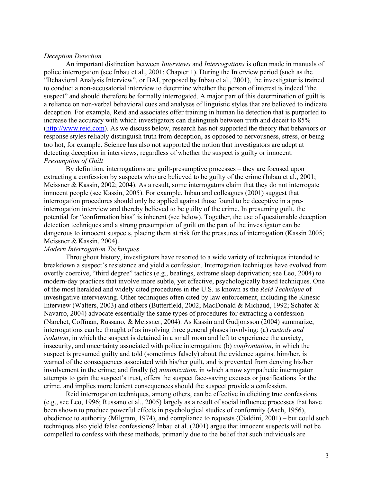#### *Deception Detection*

An important distinction between *Interviews* and *Interrogations* is often made in manuals of police interrogation (see Inbau et al., 2001; Chapter 1). During the Interview period (such as the "Behavioral Analysis Interview", or BAI, proposed by Inbau et al., 2001), the investigator is trained to conduct a non-accusatorial interview to determine whether the person of interest is indeed "the suspect" and should therefore be formally interrogated. A major part of this determination of guilt is a reliance on non-verbal behavioral cues and analyses of linguistic styles that are believed to indicate deception. For example, Reid and associates offer training in human lie detection that is purported to increase the accuracy with which investigators can distinguish between truth and deceit to 85% (http://www.reid.com). As we discuss below, research has not supported the theory that behaviors or response styles reliably distinguish truth from deception, as opposed to nervousness, stress, or being too hot, for example. Science has also not supported the notion that investigators are adept at detecting deception in interviews, regardless of whether the suspect is guilty or innocent. *Presumption of Guilt*

 By definition, interrogations are guilt-presumptive processes – they are focused upon extracting a confession by suspects who are believed to be guilty of the crime (Inbau et al., 2001; Meissner & Kassin, 2002; 2004). As a result, some interrogators claim that they do not interrogate innocent people (see Kassin, 2005). For example, Inbau and colleagues (2001) suggest that interrogation procedures should only be applied against those found to be deceptive in a preinterrogation interview and thereby believed to be guilty of the crime. In presuming guilt, the potential for "confirmation bias" is inherent (see below). Together, the use of questionable deception detection techniques and a strong presumption of guilt on the part of the investigator can be dangerous to innocent suspects, placing them at risk for the pressures of interrogation (Kassin 2005; Meissner & Kassin, 2004).

#### *Modern Interrogation Techniques*

 Throughout history, investigators have resorted to a wide variety of techniques intended to breakdown a suspect's resistance and yield a confession. Interrogation techniques have evolved from overtly coercive, "third degree" tactics (e.g., beatings, extreme sleep deprivation; see Leo, 2004) to modern-day practices that involve more subtle, yet effective, psychologically based techniques. One of the most heralded and widely cited procedures in the U.S. is known as the *Reid Technique* of investigative interviewing. Other techniques often cited by law enforcement, including the Kinesic Interview (Walters, 2003) and others (Butterfield, 2002; MacDonald & Michaud, 1992; Schafer & Navarro, 2004) advocate essentially the same types of procedures for extracting a confession (Narchet, Coffman, Russano, & Meissner, 2004). As Kassin and Gudjonsson (2004) summarize, interrogations can be thought of as involving three general phases involving: (a) *custody and isolation*, in which the suspect is detained in a small room and left to experience the anxiety, insecurity, and uncertainty associated with police interrogation; (b) *confrontation*, in which the suspect is presumed guilty and told (sometimes falsely) about the evidence against him/her, is warned of the consequences associated with his/her guilt, and is prevented from denying his/her involvement in the crime; and finally (c) *minimization*, in which a now sympathetic interrogator attempts to gain the suspect's trust, offers the suspect face-saving excuses or justifications for the crime, and implies more lenient consequences should the suspect provide a confession.

Reid interrogation techniques, among others, can be effective in eliciting true confessions (e.g., see Leo, 1996; Russano et al., 2005) largely as a result of social influence processes that have been shown to produce powerful effects in psychological studies of conformity (Asch, 1956), obedience to authority (Milgram, 1974), and compliance to requests (Cialdini, 2001) – but could such techniques also yield false confessions? Inbau et al. (2001) argue that innocent suspects will not be compelled to confess with these methods, primarily due to the belief that such individuals are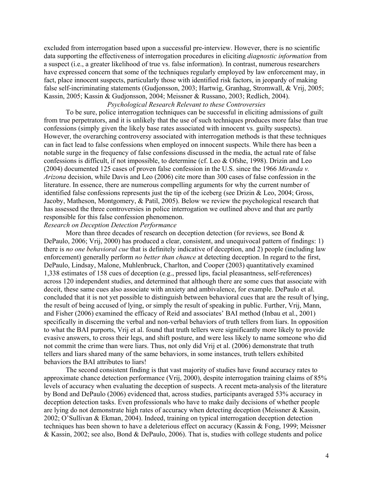excluded from interrogation based upon a successful pre-interview. However, there is no scientific data supporting the effectiveness of interrogation procedures in eliciting *diagnostic information* from a suspect (i.e., a greater likelihood of true vs. false information). In contrast, numerous researchers have expressed concern that some of the techniques regularly employed by law enforcement may, in fact, place innocent suspects, particularly those with identified risk factors, in jeopardy of making false self-incriminating statements (Gudjonsson, 2003; Hartwig, Granhag, Stromwall, & Vrij, 2005; Kassin, 2005; Kassin & Gudjonsson, 2004; Meissner & Russano, 2003; Redlich, 2004).

## *Psychological Research Relevant to these Controversies*

To be sure, police interrogation techniques can be successful in eliciting admissions of guilt from true perpetrators, and it is unlikely that the use of such techniques produces more false than true confessions (simply given the likely base rates associated with innocent vs. guilty suspects). However, the overarching controversy associated with interrogation methods is that these techniques can in fact lead to false confessions when employed on innocent suspects. While there has been a notable surge in the frequency of false confessions discussed in the media, the actual rate of false confessions is difficult, if not impossible, to determine (cf. Leo & Ofshe, 1998). Drizin and Leo (2004) documented 125 cases of proven false confession in the U.S. since the 1966 *Miranda v. Arizona* decision, while Davis and Leo (2006) cite more than 300 cases of false confession in the literature. In essence, there are numerous compelling arguments for why the current number of identified false confessions represents just the tip of the iceberg (see Drizin  $\&$  Leo, 2004; Gross, Jacoby, Matheson, Montgomery, & Patil, 2005). Below we review the psychological research that has assessed the three controversies in police interrogation we outlined above and that are partly responsible for this false confession phenomenon.

#### *Research on Deception Detection Performance*

More than three decades of research on deception detection (for reviews, see Bond  $\&$ DePaulo, 2006; Vrij, 2000) has produced a clear, consistent, and unequivocal pattern of findings: 1) there is *no one behavioral cue* that is definitely indicative of deception, and 2) people (including law enforcement) generally perform *no better than chance* at detecting deception. In regard to the first, DePaulo, Lindsay, Malone, Muhlenbruck, Charlton, and Cooper (2003) quantitatively examined 1,338 estimates of 158 cues of deception (e.g., pressed lips, facial pleasantness, self-references) across 120 independent studies, and determined that although there are some cues that associate with deceit, these same cues also associate with anxiety and ambivalence, for example. DePaulo et al. concluded that it is not yet possible to distinguish between behavioral cues that are the result of lying, the result of being accused of lying, or simply the result of speaking in public. Further, Vrij, Mann, and Fisher (2006) examined the efficacy of Reid and associates' BAI method (Inbau et al., 2001) specifically in discerning the verbal and non-verbal behaviors of truth tellers from liars. In opposition to what the BAI purports, Vrij et al. found that truth tellers were significantly more likely to provide evasive answers, to cross their legs, and shift posture, and were less likely to name someone who did not commit the crime than were liars. Thus, not only did Vrij et al. (2006) demonstrate that truth tellers and liars shared many of the same behaviors, in some instances, truth tellers exhibited behaviors the BAI attributes to liars!

The second consistent finding is that vast majority of studies have found accuracy rates to approximate chance detection performance (Vrij, 2000), despite interrogation training claims of 85% levels of accuracy when evaluating the deception of suspects. A recent meta-analysis of the literature by Bond and DePaulo (2006) evidenced that, across studies, participants averaged 53% accuracy in deception detection tasks. Even professionals who have to make daily decisions of whether people are lying do not demonstrate high rates of accuracy when detecting deception (Meissner  $\&$  Kassin, 2002; O'Sullivan & Ekman, 2004). Indeed, training on typical interrogation deception detection techniques has been shown to have a deleterious effect on accuracy (Kassin & Fong, 1999; Meissner & Kassin, 2002; see also, Bond & DePaulo, 2006). That is, studies with college students and police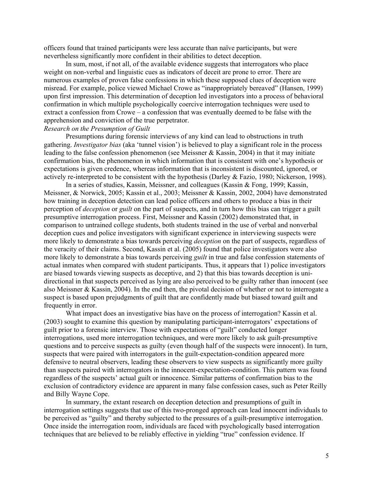officers found that trained participants were less accurate than naïve participants, but were nevertheless significantly more confident in their abilities to detect deception.

In sum, most, if not all, of the available evidence suggests that interrogators who place weight on non-verbal and linguistic cues as indicators of deceit are prone to error. There are numerous examples of proven false confessions in which these supposed clues of deception were misread. For example, police viewed Michael Crowe as "inappropriately bereaved" (Hansen, 1999) upon first impression. This determination of deception led investigators into a process of behavioral confirmation in which multiple psychologically coercive interrogation techniques were used to extract a confession from Crowe – a confession that was eventually deemed to be false with the apprehension and conviction of the true perpetrator.

# *Research on the Presumption of Guilt*

 Presumptions during forensic interviews of any kind can lead to obstructions in truth gathering. *Investigator bias* (aka 'tunnel vision') is believed to play a significant role in the process leading to the false confession phenomenon (see Meissner & Kassin, 2004) in that it may initiate confirmation bias, the phenomenon in which information that is consistent with one's hypothesis or expectations is given credence, whereas information that is inconsistent is discounted, ignored, or actively re-interpreted to be consistent with the hypothesis (Darley & Fazio, 1980; Nickerson, 1998).

In a series of studies, Kassin, Meissner, and colleagues (Kassin & Fong, 1999; Kassin, Meissner, & Norwick, 2005; Kassin et al., 2003; Meissner & Kassin, 2002, 2004) have demonstrated how training in deception detection can lead police officers and others to produce a bias in their perception of *deception* or *guilt* on the part of suspects, and in turn how this bias can trigger a guilt presumptive interrogation process. First, Meissner and Kassin (2002) demonstrated that, in comparison to untrained college students, both students trained in the use of verbal and nonverbal deception cues and police investigators with significant experience in interviewing suspects were more likely to demonstrate a bias towards perceiving *deception* on the part of suspects, regardless of the veracity of their claims. Second, Kassin et al. (2005) found that police investigators were also more likely to demonstrate a bias towards perceiving *guilt* in true and false confession statements of actual inmates when compared with student participants. Thus, it appears that 1) police investigators are biased towards viewing suspects as deceptive, and 2) that this bias towards deception is unidirectional in that suspects perceived as lying are also perceived to be guilty rather than innocent (see also Meissner & Kassin, 2004). In the end then, the pivotal decision of whether or not to interrogate a suspect is based upon prejudgments of guilt that are confidently made but biased toward guilt and frequently in error.

 What impact does an investigative bias have on the process of interrogation? Kassin et al. (2003) sought to examine this question by manipulating participant-interrogators' expectations of guilt prior to a forensic interview. Those with expectations of "guilt" conducted longer interrogations, used more interrogation techniques, and were more likely to ask guilt-presumptive questions and to perceive suspects as guilty (even though half of the suspects were innocent). In turn, suspects that were paired with interrogators in the guilt-expectation-condition appeared more defensive to neutral observers, leading these observers to view suspects as significantly more guilty than suspects paired with interrogators in the innocent-expectation-condition. This pattern was found regardless of the suspects' actual guilt or innocence. Similar patterns of confirmation bias to the exclusion of contradictory evidence are apparent in many false confession cases, such as Peter Reilly and Billy Wayne Cope.

In summary, the extant research on deception detection and presumptions of guilt in interrogation settings suggests that use of this two-pronged approach can lead innocent individuals to be perceived as "guilty" and thereby subjected to the pressures of a guilt-presumptive interrogation. Once inside the interrogation room, individuals are faced with psychologically based interrogation techniques that are believed to be reliably effective in yielding "true" confession evidence. If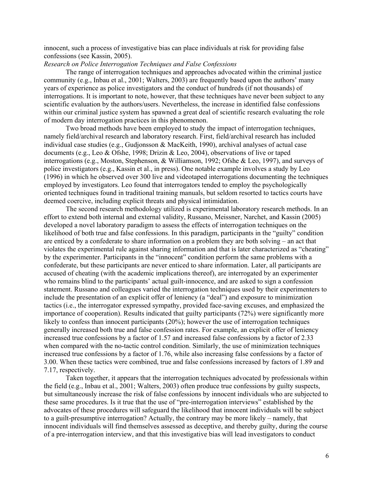innocent, such a process of investigative bias can place individuals at risk for providing false confessions (see Kassin, 2005).

## *Research on Police Interrogation Techniques and False Confessions*

 The range of interrogation techniques and approaches advocated within the criminal justice community (e.g., Inbau et al., 2001; Walters, 2003) are frequently based upon the authors' many years of experience as police investigators and the conduct of hundreds (if not thousands) of interrogations. It is important to note, however, that these techniques have never been subject to any scientific evaluation by the authors/users. Nevertheless, the increase in identified false confessions within our criminal justice system has spawned a great deal of scientific research evaluating the role of modern day interrogation practices in this phenomenon.

 Two broad methods have been employed to study the impact of interrogation techniques, namely field/archival research and laboratory research. First, field/archival research has included individual case studies (e.g., Gudjonsson & MacKeith, 1990), archival analyses of actual case documents (e.g., Leo & Ofshe, 1998; Drizin & Leo, 2004), observations of live or taped interrogations (e.g., Moston, Stephenson, & Williamson, 1992; Ofshe & Leo, 1997), and surveys of police investigators (e.g., Kassin et al., in press). One notable example involves a study by Leo (1996) in which he observed over 300 live and videotaped interrogations documenting the techniques employed by investigators. Leo found that interrogators tended to employ the psychologically oriented techniques found in traditional training manuals, but seldom resorted to tactics courts have deemed coercive, including explicit threats and physical intimidation.

 The second research methodology utilized is experimental laboratory research methods. In an effort to extend both internal and external validity, Russano, Meissner, Narchet, and Kassin (2005) developed a novel laboratory paradigm to assess the effects of interrogation techniques on the likelihood of both true and false confessions. In this paradigm, participants in the "guilty" condition are enticed by a confederate to share information on a problem they are both solving – an act that violates the experimental rule against sharing information and that is later characterized as "cheating" by the experimenter. Participants in the "innocent" condition perform the same problems with a confederate, but these participants are never enticed to share information. Later, all participants are accused of cheating (with the academic implications thereof), are interrogated by an experimenter who remains blind to the participants' actual guilt-innocence, and are asked to sign a confession statement. Russano and colleagues varied the interrogation techniques used by their experimenters to include the presentation of an explicit offer of leniency (a "deal") and exposure to minimization tactics (i.e., the interrogator expressed sympathy, provided face-saving excuses, and emphasized the importance of cooperation). Results indicated that guilty participants (72%) were significantly more likely to confess than innocent participants (20%); however the use of interrogation techniques generally increased both true and false confession rates. For example, an explicit offer of leniency increased true confessions by a factor of 1.57 and increased false confessions by a factor of 2.33 when compared with the no-tactic control condition. Similarly, the use of minimization techniques increased true confessions by a factor of 1.76, while also increasing false confessions by a factor of 3.00. When these tactics were combined, true and false confessions increased by factors of 1.89 and 7.17, respectively.

 Taken together, it appears that the interrogation techniques advocated by professionals within the field (e.g., Inbau et al., 2001; Walters, 2003) often produce true confessions by guilty suspects, but simultaneously increase the risk of false confessions by innocent individuals who are subjected to these same procedures. Is it true that the use of "pre-interrogation interviews" established by the advocates of these procedures will safeguard the likelihood that innocent individuals will be subject to a guilt-presumptive interrogation? Actually, the contrary may be more likely – namely, that innocent individuals will find themselves assessed as deceptive, and thereby guilty, during the course of a pre-interrogation interview, and that this investigative bias will lead investigators to conduct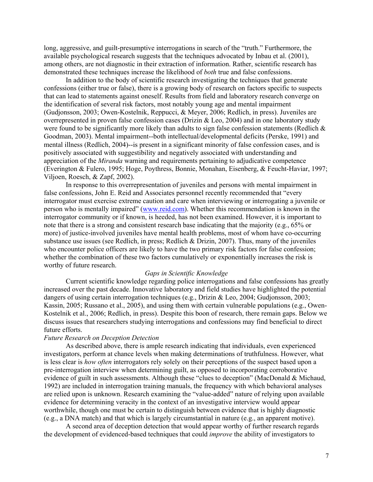long, aggressive, and guilt-presumptive interrogations in search of the "truth." Furthermore, the available psychological research suggests that the techniques advocated by Inbau et al. (2001), among others, are not diagnostic in their extraction of information. Rather, scientific research has demonstrated these techniques increase the likelihood of *both* true and false confessions.

 In addition to the body of scientific research investigating the techniques that generate confessions (either true or false), there is a growing body of research on factors specific to suspects that can lead to statements against oneself. Results from field and laboratory research converge on the identification of several risk factors, most notably young age and mental impairment (Gudjonsson, 2003; Owen-Kostelnik, Reppucci, & Meyer, 2006; Redlich, in press). Juveniles are overrepresented in proven false confession cases (Drizin  $\&$  Leo, 2004) and in one laboratory study were found to be significantly more likely than adults to sign false confession statements (Redlich & Goodman, 2003). Mental impairment--both intellectual/developmental deficits (Perske, 1991) and mental illness (Redlich, 2004)--is present in a significant minority of false confession cases, and is positively associated with suggestibility and negatively associated with understanding and appreciation of the *Miranda* warning and requirements pertaining to adjudicative competence (Everington & Fulero, 1995; Hoge, Poythress, Bonnie, Monahan, Eisenberg, & Feucht-Haviar, 1997; Viljoen, Roesch, & Zapf, 2002).

In response to this overrepresentation of juveniles and persons with mental impairment in false confessions, John E. Reid and Associates personnel recently recommended that "every interrogator must exercise extreme caution and care when interviewing or interrogating a juvenile or person who is mentally impaired" (www.reid.com). Whether this recommendation is known in the interrogator community or if known, is heeded, has not been examined. However, it is important to note that there is a strong and consistent research base indicating that the majority (e.g., 65% or more) of justice-involved juveniles have mental health problems, most of whom have co-occurring substance use issues (see Redlich, in press; Redlich & Drizin, 2007). Thus, many of the juveniles who encounter police officers are likely to have the two primary risk factors for false confession; whether the combination of these two factors cumulatively or exponentially increases the risk is worthy of future research.

#### *Gaps in Scientific Knowledge*

 Current scientific knowledge regarding police interrogations and false confessions has greatly increased over the past decade. Innovative laboratory and field studies have highlighted the potential dangers of using certain interrogation techniques (e.g., Drizin & Leo, 2004; Gudjonsson, 2003; Kassin, 2005; Russano et al., 2005), and using them with certain vulnerable populations (e.g., Owen-Kostelnik et al., 2006; Redlich, in press). Despite this boon of research, there remain gaps. Below we discuss issues that researchers studying interrogations and confessions may find beneficial to direct future efforts.

#### *Future Research on Deception Detection*

As described above, there is ample research indicating that individuals, even experienced investigators, perform at chance levels when making determinations of truthfulness. However, what is less clear is *how often* interrogators rely solely on their perceptions of the suspect based upon a pre-interrogation interview when determining guilt, as opposed to incorporating corroborative evidence of guilt in such assessments. Although these "clues to deception" (MacDonald & Michaud, 1992) are included in interrogation training manuals, the frequency with which behavioral analyses are relied upon is unknown. Research examining the "value-added" nature of relying upon available evidence for determining veracity in the context of an investigative interview would appear worthwhile, though one must be certain to distinguish between evidence that is highly diagnostic (e.g., a DNA match) and that which is largely circumstantial in nature (e.g., an apparent motive).

A second area of deception detection that would appear worthy of further research regards the development of evidenced-based techniques that could *improve* the ability of investigators to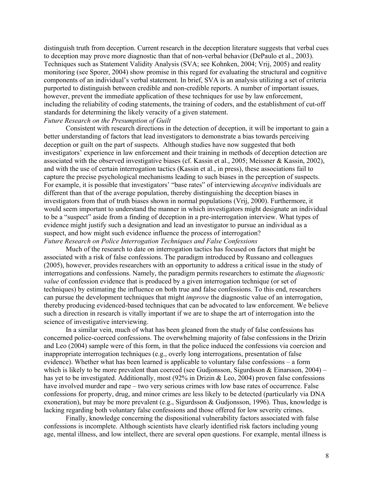distinguish truth from deception. Current research in the deception literature suggests that verbal cues to deception may prove more diagnostic than that of non-verbal behavior (DePaulo et al., 2003). Techniques such as Statement Validity Analysis (SVA; see Kohnken, 2004; Vrij, 2005) and reality monitoring (see Sporer, 2004) show promise in this regard for evaluating the structural and cognitive components of an individual's verbal statement. In brief, SVA is an analysis utilizing a set of criteria purported to distinguish between credible and non-credible reports. A number of important issues, however, prevent the immediate application of these techniques for use by law enforcement, including the reliability of coding statements, the training of coders, and the establishment of cut-off standards for determining the likely veracity of a given statement. *Future Research on the Presumption of Guilt*

 Consistent with research directions in the detection of deception, it will be important to gain a better understanding of factors that lead investigators to demonstrate a bias towards perceiving deception or guilt on the part of suspects. Although studies have now suggested that both investigators' experience in law enforcement and their training in methods of deception detection are associated with the observed investigative biases (cf. Kassin et al., 2005; Meissner & Kassin, 2002), and with the use of certain interrogation tactics (Kassin et al., in press), these associations fail to capture the precise psychological mechanisms leading to such biases in the perception of suspects. For example, it is possible that investigators' "base rates" of interviewing *deceptive* individuals are different than that of the average population, thereby distinguishing the deception biases in investigators from that of truth biases shown in normal populations (Vrij, 2000). Furthermore, it would seem important to understand the manner in which investigators might designate an individual to be a "suspect" aside from a finding of deception in a pre-interrogation interview. What types of evidence might justify such a designation and lead an investigator to pursue an individual as a suspect, and how might such evidence influence the process of interrogation? *Future Research on Police Interrogation Techniques and False Confessions* 

 Much of the research to date on interrogation tactics has focused on factors that might be associated with a risk of false confessions. The paradigm introduced by Russano and colleagues (2005), however, provides researchers with an opportunity to address a critical issue in the study of interrogations and confessions. Namely, the paradigm permits researchers to estimate the *diagnostic value* of confession evidence that is produced by a given interrogation technique (or set of techniques) by estimating the influence on both true and false confessions. To this end, researchers can pursue the development techniques that might *improve* the diagnostic value of an interrogation, thereby producing evidenced-based techniques that can be advocated to law enforcement. We believe such a direction in research is vitally important if we are to shape the art of interrogation into the science of investigative interviewing.

In a similar vein, much of what has been gleaned from the study of false confessions has concerned police-coerced confessions. The overwhelming majority of false confessions in the Drizin and Leo (2004) sample were of this form, in that the police induced the confessions via coercion and inappropriate interrogation techniques (e.g., overly long interrogations, presentation of false evidence). Whether what has been learned is applicable to voluntary false confessions – a form which is likely to be more prevalent than coerced (see Gudjonsson, Sigurdsson & Einarsson,  $2004$ ) – has yet to be investigated. Additionally, most (92% in Drizin & Leo, 2004) proven false confessions have involved murder and rape – two very serious crimes with low base rates of occurrence. False confessions for property, drug, and minor crimes are less likely to be detected (particularly via DNA exoneration), but may be more prevalent (e.g., Sigurdsson & Gudjonsson, 1996). Thus, knowledge is lacking regarding both voluntary false confessions and those offered for low severity crimes.

Finally, knowledge concerning the dispositional vulnerability factors associated with false confessions is incomplete. Although scientists have clearly identified risk factors including young age, mental illness, and low intellect, there are several open questions. For example, mental illness is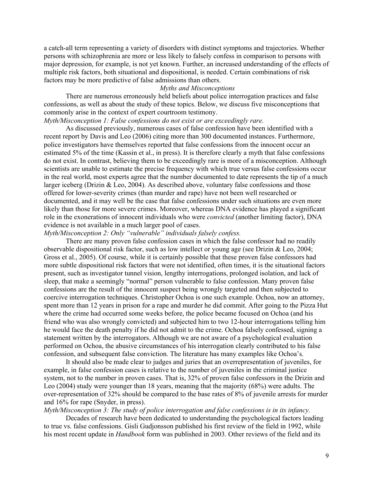a catch-all term representing a variety of disorders with distinct symptoms and trajectories. Whether persons with schizophrenia are more or less likely to falsely confess in comparison to persons with major depression, for example, is not yet known. Further, an increased understanding of the effects of multiple risk factors, both situational and dispositional, is needed. Certain combinations of risk factors may be more predictive of false admissions than others.

## *Myths and Misconceptions*

 There are numerous erroneously held beliefs about police interrogation practices and false confessions, as well as about the study of these topics. Below, we discuss five misconceptions that commonly arise in the context of expert courtroom testimony.

# *Myth/Misconception 1: False confessions do not exist or are exceedingly rare.*

 As discussed previously, numerous cases of false confession have been identified with a recent report by Davis and Leo (2006) citing more than 300 documented instances. Furthermore, police investigators have themselves reported that false confessions from the innocent occur an estimated 5% of the time (Kassin et al., in press). It is therefore clearly a myth that false confessions do not exist. In contrast, believing them to be exceedingly rare is more of a misconception. Although scientists are unable to estimate the precise frequency with which true versus false confessions occur in the real world, most experts agree that the number documented to date represents the tip of a much larger iceberg (Drizin & Leo, 2004). As described above, voluntary false confessions and those offered for lower-severity crimes (than murder and rape) have not been well researched or documented, and it may well be the case that false confessions under such situations are even more likely than those for more severe crimes. Moreover, whereas DNA evidence has played a significant role in the exonerations of innocent individuals who were *convicted* (another limiting factor), DNA evidence is not available in a much larger pool of cases.

# *Myth/Misconception 2: Only "vulnerable" individuals falsely confess.*

 There are many proven false confession cases in which the false confessor had no readily observable dispositional risk factor, such as low intellect or young age (see Drizin & Leo, 2004; Gross et al., 2005). Of course, while it is certainly possible that these proven false confessors had more subtle dispositional risk factors that were not identified, often times, it is the situational factors present, such as investigator tunnel vision, lengthy interrogations, prolonged isolation, and lack of sleep, that make a seemingly "normal" person vulnerable to false confession. Many proven false confessions are the result of the innocent suspect being wrongly targeted and then subjected to coercive interrogation techniques. Christopher Ochoa is one such example. Ochoa, now an attorney, spent more than 12 years in prison for a rape and murder he did commit. After going to the Pizza Hut where the crime had occurred some weeks before, the police became focused on Ochoa (and his friend who was also wrongly convicted) and subjected him to two 12-hour interrogations telling him he would face the death penalty if he did not admit to the crime. Ochoa falsely confessed, signing a statement written by the interrogators. Although we are not aware of a psychological evaluation performed on Ochoa, the abusive circumstances of his interrogation clearly contributed to his false confession, and subsequent false conviction. The literature has many examples like Ochoa's.

 It should also be made clear to judges and juries that an overrepresentation of juveniles, for example, in false confession cases is relative to the number of juveniles in the criminal justice system, not to the number in proven cases. That is, 32% of proven false confessors in the Drizin and Leo (2004) study were younger than 18 years, meaning that the majority (68%) were adults. The over-representation of 32% should be compared to the base rates of 8% of juvenile arrests for murder and 16% for rape (Snyder, in press).

# *Myth/Misconception 3: The study of police interrogation and false confessions is in its infancy.*

 Decades of research have been dedicated to understanding the psychological factors leading to true vs. false confessions. Gisli Gudjonsson published his first review of the field in 1992, while his most recent update in *Handbook* form was published in 2003. Other reviews of the field and its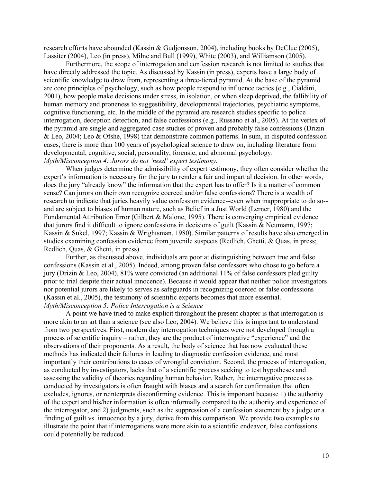research efforts have abounded (Kassin & Gudjonsson, 2004), including books by DeClue (2005), Lassiter (2004), Leo (in press), Milne and Bull (1999), White (2003), and Williamson (2005).

Furthermore, the scope of interrogation and confession research is not limited to studies that have directly addressed the topic. As discussed by Kassin (in press), experts have a large body of scientific knowledge to draw from, representing a three-tiered pyramid. At the base of the pyramid are core principles of psychology, such as how people respond to influence tactics (e.g., Cialdini, 2001), how people make decisions under stress, in isolation, or when sleep deprived, the fallibility of human memory and proneness to suggestibility, developmental trajectories, psychiatric symptoms, cognitive functioning, etc. In the middle of the pyramid are research studies specific to police interrogation, deception detection, and false confessions (e.g., Russano et al., 2005). At the vertex of the pyramid are single and aggregated case studies of proven and probably false confessions (Drizin & Leo, 2004; Leo & Ofshe, 1998) that demonstrate common patterns. In sum, in disputed confession cases, there is more than 100 years of psychological science to draw on, including literature from developmental, cognitive, social, personality, forensic, and abnormal psychology. *Myth/Misconception 4: Jurors do not 'need' expert testimony.* 

When judges determine the admissibility of expert testimony, they often consider whether the expert's information is necessary for the jury to render a fair and impartial decision. In other words, does the jury "already know" the information that the expert has to offer? Is it a matter of common sense? Can jurors on their own recognize coerced and/or false confessions? There is a wealth of research to indicate that juries heavily value confession evidence--even when inappropriate to do so- and are subject to biases of human nature, such as Belief in a Just World (Lerner, 1980) and the Fundamental Attribution Error (Gilbert & Malone, 1995). There is converging empirical evidence that jurors find it difficult to ignore confessions in decisions of guilt (Kassin & Neumann, 1997; Kassin & Sukel, 1997; Kassin & Wrightsman, 1980). Similar patterns of results have also emerged in studies examining confession evidence from juvenile suspects (Redlich, Ghetti, & Quas, in press; Redlich, Quas, & Ghetti, in press).

Further, as discussed above, individuals are poor at distinguishing between true and false confessions (Kassin et al., 2005). Indeed, among proven false confessors who chose to go before a jury (Drizin & Leo, 2004), 81% were convicted (an additional 11% of false confessors pled guilty prior to trial despite their actual innocence). Because it would appear that neither police investigators nor potential jurors are likely to serves as safeguards in recognizing coerced or false confessions (Kassin et al., 2005), the testimony of scientific experts becomes that more essential. *Myth/Misconception 5: Police Interrogation is a Science* 

 A point we have tried to make explicit throughout the present chapter is that interrogation is more akin to an art than a science (see also Leo, 2004). We believe this is important to understand from two perspectives. First, modern day interrogation techniques were not developed through a process of scientific inquiry – rather, they are the product of interrogative "experience" and the observations of their proponents. As a result, the body of science that has now evaluated these methods has indicated their failures in leading to diagnostic confession evidence, and most importantly their contributions to cases of wrongful conviction. Second, the process of interrogation, as conducted by investigators, lacks that of a scientific process seeking to test hypotheses and assessing the validity of theories regarding human behavior. Rather, the interrogative process as conducted by investigators is often fraught with biases and a search for confirmation that often excludes, ignores, or reinterprets disconfirming evidence. This is important because 1) the authority of the expert and his/her information is often informally compared to the authority and experience of the interrogator, and 2) judgments, such as the suppression of a confession statement by a judge or a finding of guilt vs. innocence by a jury, derive from this comparison. We provide two examples to illustrate the point that if interrogations were more akin to a scientific endeavor, false confessions could potentially be reduced.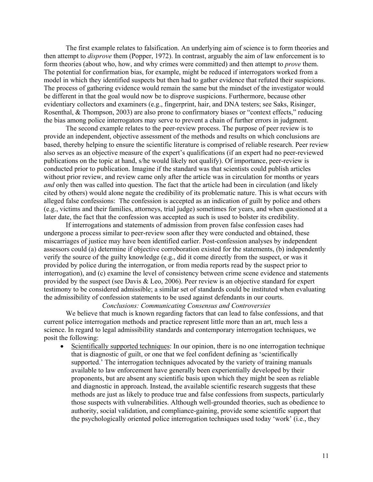The first example relates to falsification. An underlying aim of science is to form theories and then attempt to *disprove* them (Popper, 1972). In contrast, arguably the aim of law enforcement is to form theories (about who, how, and why crimes were committed) and then attempt to *prove* them. The potential for confirmation bias, for example, might be reduced if interrogators worked from a model in which they identified suspects but then had to gather evidence that refuted their suspicions. The process of gathering evidence would remain the same but the mindset of the investigator would be different in that the goal would now be to disprove suspicions. Furthermore, because other evidentiary collectors and examiners (e.g., fingerprint, hair, and DNA testers; see Saks, Risinger, Rosenthal, & Thompson, 2003) are also prone to confirmatory biases or "context effects," reducing the bias among police interrogators may serve to prevent a chain of further errors in judgment.

The second example relates to the peer-review process. The purpose of peer review is to provide an independent, objective assessment of the methods and results on which conclusions are based, thereby helping to ensure the scientific literature is comprised of reliable research. Peer review also serves as an objective measure of the expert's qualifications (if an expert had no peer-reviewed publications on the topic at hand, s/he would likely not qualify). Of importance, peer-review is conducted prior to publication. Imagine if the standard was that scientists could publish articles without prior review, and review came only after the article was in circulation for months or years *and* only then was called into question. The fact that the article had been in circulation (and likely cited by others) would alone negate the credibility of its problematic nature. This is what occurs with alleged false confessions: The confession is accepted as an indication of guilt by police and others (e.g., victims and their families, attorneys, trial judge) sometimes for years, and when questioned at a later date, the fact that the confession was accepted as such is used to bolster its credibility.

If interrogations and statements of admission from proven false confession cases had undergone a process similar to peer-review soon after they were conducted and obtained, these miscarriages of justice may have been identified earlier. Post-confession analyses by independent assessors could (a) determine if objective corroboration existed for the statements, (b) independently verify the source of the guilty knowledge (e.g., did it come directly from the suspect, or was it provided by police during the interrogation, or from media reports read by the suspect prior to interrogation), and (c) examine the level of consistency between crime scene evidence and statements provided by the suspect (see Davis & Leo, 2006). Peer review is an objective standard for expert testimony to be considered admissible; a similar set of standards could be instituted when evaluating the admissibility of confession statements to be used against defendants in our courts.

#### *Conclusions: Communicating Consensus and Controversies*

 We believe that much is known regarding factors that can lead to false confessions, and that current police interrogation methods and practice represent little more than an art, much less a science. In regard to legal admissibility standards and contemporary interrogation techniques, we posit the following:

Scientifically supported techniques: In our opinion, there is no one interrogation technique that is diagnostic of guilt, or one that we feel confident defining as 'scientifically supported.' The interrogation techniques advocated by the variety of training manuals available to law enforcement have generally been experientially developed by their proponents, but are absent any scientific basis upon which they might be seen as reliable and diagnostic in approach. Instead, the available scientific research suggests that these methods are just as likely to produce true and false confessions from suspects, particularly those suspects with vulnerabilities. Although well-grounded theories, such as obedience to authority, social validation, and compliance-gaining, provide some scientific support that the psychologically oriented police interrogation techniques used today 'work' (i.e., they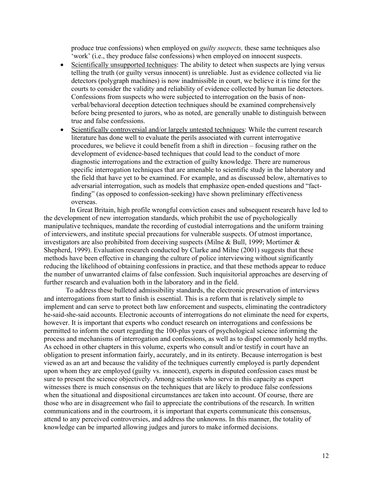produce true confessions) when employed on *guilty suspects,* these same techniques also 'work' (i.e., they produce false confessions) when employed on innocent suspects.

- Scientifically unsupported techniques: The ability to detect when suspects are lying versus telling the truth (or guilty versus innocent) is unreliable. Just as evidence collected via lie detectors (polygraph machines) is now inadmissible in court, we believe it is time for the courts to consider the validity and reliability of evidence collected by human lie detectors. Confessions from suspects who were subjected to interrogation on the basis of nonverbal/behavioral deception detection techniques should be examined comprehensively before being presented to jurors, who as noted, are generally unable to distinguish between true and false confessions.
- Scientifically controversial and/or largely untested techniques: While the current research literature has done well to evaluate the perils associated with current interrogative procedures, we believe it could benefit from a shift in direction – focusing rather on the development of evidence-based techniques that could lead to the conduct of more diagnostic interrogations and the extraction of guilty knowledge. There are numerous specific interrogation techniques that are amenable to scientific study in the laboratory and the field that have yet to be examined. For example, and as discussed below, alternatives to adversarial interrogation, such as models that emphasize open-ended questions and "factfinding" (as opposed to confession-seeking) have shown preliminary effectiveness overseas.

In Great Britain, high profile wrongful conviction cases and subsequent research have led to the development of new interrogation standards, which prohibit the use of psychologically manipulative techniques, mandate the recording of custodial interrogations and the uniform training of interviewers, and institute special precautions for vulnerable suspects. Of utmost importance, investigators are also prohibited from deceiving suspects (Milne & Bull, 1999; Mortimer & Shepherd, 1999). Evaluation research conducted by Clarke and Milne (2001) suggests that these methods have been effective in changing the culture of police interviewing without significantly reducing the likelihood of obtaining confessions in practice, and that these methods appear to reduce the number of unwarranted claims of false confession. Such inquisitorial approaches are deserving of further research and evaluation both in the laboratory and in the field.

To address these bulleted admissibility standards, the electronic preservation of interviews and interrogations from start to finish is essential. This is a reform that is relatively simple to implement and can serve to protect both law enforcement and suspects, eliminating the contradictory he-said-she-said accounts. Electronic accounts of interrogations do not eliminate the need for experts, however. It is important that experts who conduct research on interrogations and confessions be permitted to inform the court regarding the 100-plus years of psychological science informing the process and mechanisms of interrogation and confessions, as well as to dispel commonly held myths. As echoed in other chapters in this volume, experts who consult and/or testify in court have an obligation to present information fairly, accurately, and in its entirety. Because interrogation is best viewed as an art and because the validity of the techniques currently employed is partly dependent upon whom they are employed (guilty vs. innocent), experts in disputed confession cases must be sure to present the science objectively. Among scientists who serve in this capacity as expert witnesses there is much consensus on the techniques that are likely to produce false confessions when the situational and dispositional circumstances are taken into account. Of course, there are those who are in disagreement who fail to appreciate the contributions of the research. In written communications and in the courtroom, it is important that experts communicate this consensus, attend to any perceived controversies, and address the unknowns. In this manner, the totality of knowledge can be imparted allowing judges and jurors to make informed decisions.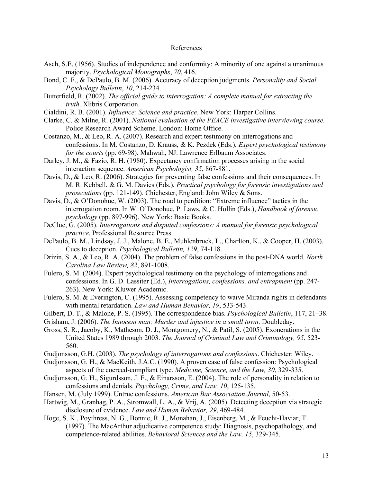### References

- Asch, S.E. (1956). Studies of independence and conformity: A minority of one against a unanimous majority. *Psychological Monographs*, *70*, 416.
- Bond, C. F., & DePaulo, B. M. (2006). Accuracy of deception judgments. *Personality and Social Psychology Bulletin*, *10*, 214-234.
- Butterfield, R. (2002). *The official guide to interrogation: A complete manual for extracting the truth*. Xlibris Corporation.
- Cialdini, R. B. (2001). *Influence: Science and practice*. New York: Harper Collins.
- Clarke, C. & Milne, R. (2001). *National evaluation of the PEACE investigative interviewing course.* Police Research Award Scheme. London: Home Office.
- Costanzo, M., & Leo, R. A. (2007). Research and expert testimony on interrogations and confessions. In M. Costanzo, D. Krauss, & K. Pezdek (Eds.), *Expert psychological testimony for the courts* (pp. 69-98). Mahwah, NJ: Lawrence Erlbaum Associates.
- Darley, J. M., & Fazio, R. H. (1980). Expectancy confirmation processes arising in the social interaction sequence. *American Psychologist, 35*, 867-881.
- Davis, D., & Leo, R. (2006). Strategies for preventing false confessions and their consequences. In M. R. Kebbell, & G. M. Davies (Eds.), *Practical psychology for forensic investigations and prosecutions* (pp. 121-149). Chichester, England: John Wiley & Sons.
- Davis, D., & O'Donohue, W. (2003). The road to perdition: "Extreme influence" tactics in the interrogation room. In W. O'Donohue, P. Laws, & C. Hollin (Eds.), *Handbook of forensic psychology* (pp. 897-996). New York: Basic Books.
- DeClue, G. (2005). *Interrogations and disputed confessions: A manual for forensic psychological practice*. Professional Resource Press.
- DePaulo, B. M., Lindsay, J. J., Malone, B. E., Muhlenbruck, L., Charlton, K., & Cooper, H. (2003). Cues to deception. *Psychological Bulletin, 129*, 74-118.
- Drizin, S. A., & Leo, R. A. (2004). The problem of false confessions in the post-DNA world. *North Carolina Law Review, 82*, 891-1008.
- Fulero, S. M. (2004). Expert psychological testimony on the psychology of interrogations and confessions. In G. D. Lassiter (Ed.), *Interrogations, confessions, and entrapment* (pp. 247- 263). New York: Kluwer Academic.
- Fulero, S. M. & Everington, C. (1995). Assessing competency to waive Miranda rights in defendants with mental retardation. *Law and Human Behavior, 19*, 533-543.
- Gilbert, D. T., & Malone, P. S. (1995). The correspondence bias. *Psychological Bulletin*, 117, 21–38.
- Grisham, J. (2006). *The Innocent man: Murder and injustice in a small town*. Doubleday.
- Gross, S. R., Jacoby, K., Matheson, D. J., Montgomery, N., & Patil, S. (2005). Exonerations in the United States 1989 through 2003. *The Journal of Criminal Law and Criminology, 95*, 523- 560.
- Gudjonsson, G.H. (2003). *The psychology of interrogations and confessions*. Chichester: Wiley.
- Gudjonsson, G. H., & MacKeith, J.A.C. (1990). A proven case of false confession: Psychological aspects of the coerced-compliant type. *Medicine, Science, and the Law, 30*, 329-335.
- Gudjonsson, G. H., Sigurdsson, J. F., & Einarsson, E. (2004). The role of personality in relation to confessions and denials. *Psychology, Crime, and Law, 10*, 125-135.
- Hansen, M. (July 1999). Untrue confessions. *American Bar Association Journal*, 50-53.
- Hartwig, M., Granhag, P. A., Stromwall, L. A., & Vrij, A. (2005). Detecting deception via strategic disclosure of evidence. *Law and Human Behavior, 29*, 469-484.
- Hoge, S. K., Poythress, N. G., Bonnie, R. J., Monahan, J., Eisenberg, M., & Feucht-Haviar, T. (1997). The MacArthur adjudicative competence study: Diagnosis, psychopathology, and competence-related abilities. *Behavioral Sciences and the Law, 15*, 329-345.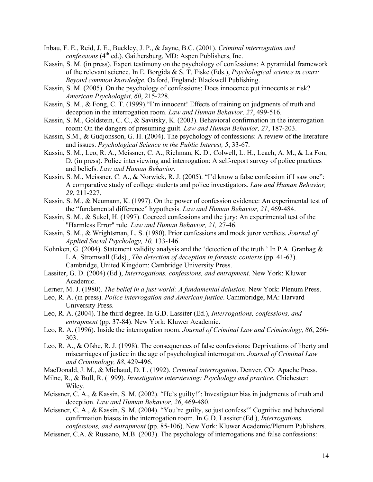- Inbau, F. E., Reid, J. E., Buckley, J. P., & Jayne, B.C. (2001). *Criminal interrogation and*   $\zeta$ *confessions* (4<sup>th</sup> ed.). Gaithersburg, MD: Aspen Publishers, Inc.
- Kassin, S. M. (in press). Expert testimony on the psychology of confessions: A pyramidal framework of the relevant science. In E. Borgida & S. T. Fiske (Eds.), *Psychological science in court: Beyond common knowledge*. Oxford, England: Blackwell Publishing.
- Kassin, S. M. (2005). On the psychology of confessions: Does innocence put innocents at risk? *American Psychologist, 60*, 215-228.
- Kassin, S. M., & Fong, C. T. (1999)."I'm innocent! Effects of training on judgments of truth and deception in the interrogation room. *Law and Human Behavior, 27*, 499-516.
- Kassin, S. M., Goldstein, C. C., & Savitsky, K. (2003). Behavioral confirmation in the interrogation room: On the dangers of presuming guilt. *Law and Human Behavior, 27*, 187-203.
- Kassin, S.M., & Gudjonsson, G. H. (2004). The psychology of confessions: A review of the literature and issues. *Psychological Science in the Public Interest, 5*, 33-67.
- Kassin, S. M., Leo, R. A., Meissner, C. A., Richman, K. D., Colwell, L. H., Leach, A. M., & La Fon, D. (in press). Police interviewing and interrogation: A self-report survey of police practices and beliefs. *Law and Human Behavior.*
- Kassin, S. M., Meissner, C. A., & Norwick, R. J. (2005). "I'd know a false confession if I saw one": A comparative study of college students and police investigators. *Law and Human Behavior, 29*, 211-227.
- Kassin, S. M., & Neumann, K. (1997). On the power of confession evidence: An experimental test of the "fundamental difference" hypothesis. *Law and Human Behavior, 21*, 469-484.
- Kassin, S. M., & Sukel, H. (1997). Coerced confessions and the jury: An experimental test of the "Harmless Error" rule. *Law and Human Behavior, 21,* 27-46.
- Kassin, S. M., & Wrightsman, L. S. (1980). Prior confessions and mock juror verdicts. *Journal of Applied Social Psychology, 10,* 133-146.
- Kohnken, G. (2004). Statement validity analysis and the 'detection of the truth.' In P.A. Granhag  $\&$ L.A. Stromwall (Eds)., *The detection of deception in forensic contexts* (pp. 41-63). Cambridge, United Kingdom: Cambridge University Press.
- Lassiter, G. D. (2004) (Ed.), *Interrogations, confessions, and entrapment*. New York: Kluwer Academic.
- Lerner, M. J. (1980). *The belief in a just world: A fundamental delusion*. New York: Plenum Press.
- Leo, R. A. (in press). *Police interrogation and American justice*. Cammbridge, MA: Harvard University Press.
- Leo, R. A. (2004). The third degree. In G.D. Lassiter (Ed.), *Interrogations, confessions, and entrapment* (pp. 37-84). New York: Kluwer Academic.
- Leo, R. A. (1996). Inside the interrogation room. *Journal of Criminal Law and Criminology, 86*, 266- 303.
- Leo, R. A., & Ofshe, R. J. (1998). The consequences of false confessions: Deprivations of liberty and miscarriages of justice in the age of psychological interrogation. *Journal of Criminal Law and Criminology, 88*, 429-496.
- MacDonald, J. M., & Michaud, D. L. (1992). *Criminal interrogation*. Denver, CO: Apache Press.
- Milne, R., & Bull, R. (1999). *Investigative interviewing: Psychology and practice*. Chichester: Wiley.
- Meissner, C. A., & Kassin, S. M. (2002). "He's guilty!": Investigator bias in judgments of truth and deception. *Law and Human Behavior, 26*, 469-480.
- Meissner, C. A., & Kassin, S. M. (2004). "You're guilty, so just confess!" Cognitive and behavioral confirmation biases in the interrogation room. In G.D. Lassiter (Ed.), *Interrogations, confessions, and entrapment* (pp. 85-106). New York: Kluwer Academic/Plenum Publishers.
- Meissner, C.A. & Russano, M.B. (2003). The psychology of interrogations and false confessions: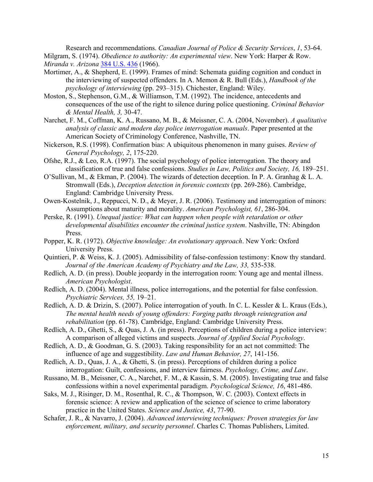Research and recommendations. *Canadian Journal of Police & Security Services*, *1*, 53-64. Milgram, S. (1974). *Obedience to authority: An experimental view*. New York: Harper & Row. *Miranda v. Arizona* 384 U.S. 436 (1966).

- Mortimer, A., & Shepherd, E. (1999). Frames of mind: Schemata guiding cognition and conduct in the interviewing of suspected offenders. In A. Memon & R. Bull (Eds.), *Handbook of the psychology of interviewing* (pp. 293–315). Chichester, England: Wiley.
- Moston, S., Stephenson, G.M., & Williamson, T.M. (1992). The incidence, antecedents and consequences of the use of the right to silence during police questioning. *Criminal Behavior & Mental Health, 3,* 30-47.
- Narchet, F. M., Coffman, K. A., Russano, M. B., & Meissner, C. A. (2004, November). *A qualitative analysis of classic and modern day police interrogation manuals*. Paper presented at the American Society of Criminology Conference, Nashville, TN.
- Nickerson, R.S. (1998). Confirmation bias: A ubiquitous phenomenon in many guises. *Review of General Psychology, 2*, 175-220.
- Ofshe, R.J., & Leo, R.A. (1997). The social psychology of police interrogation. The theory and classification of true and false confessions. *Studies in Law, Politics and Society, 16,* 189–251.
- O'Sullivan, M., & Ekman, P. (2004). The wizards of detection deception. In P. A. Granhag & L. A. Stromwall (Eds.), *Deception detection in forensic contexts* (pp. 269-286). Cambridge, England: Cambridge University Press.
- Owen-Kostelnik, J., Reppucci, N. D., & Meyer, J. R. (2006). Testimony and interrogation of minors: Assumptions about maturity and morality. *American Psychologist, 61*, 286-304.
- Perske, R. (1991). *Unequal justice: What can happen when people with retardation or other developmental disabilities encounter the criminal justice system*. Nashville, TN: Abingdon Press.
- Popper, K. R. (1972). *Objective knowledge: An evolutionary approach*. New York: Oxford University Press.
- Quintieri, P. & Weiss, K. J. (2005). Admissibility of false-confession testimony: Know thy standard. *Journal of the American Academy of Psychiatry and the Law, 33,* 535-538.
- Redlich, A. D. (in press). Double jeopardy in the interrogation room: Young age and mental illness. *American Psychologist*.
- Redlich, A. D. (2004). Mental illness, police interrogations, and the potential for false confession. *Psychiatric Services, 55,* 19–21.
- Redlich, A. D. & Drizin, S. (2007). Police interrogation of youth. In C. L. Kessler & L. Kraus (Eds.), *The mental health needs of young offenders: Forging paths through reintegration and rehabilitation* (pp. 61-78). Cambridge, England: Cambridge University Press.
- Redlich, A. D., Ghetti, S., & Quas, J. A. (in press). Perceptions of children during a police interview: A comparison of alleged victims and suspects. *Journal of Applied Social Psychology*.
- Redlich, A. D., & Goodman, G. S. (2003). Taking responsibility for an act not committed: The influence of age and suggestibility. *Law and Human Behavior, 27*, 141-156.
- Redlich, A. D., Quas, J. A., & Ghetti, S. (in press). Perceptions of children during a police interrogation: Guilt, confessions, and interview fairness. *Psychology, Crime, and Law*.
- Russano, M. B., Meissner, C. A., Narchet, F. M., & Kassin, S. M. (2005). Investigating true and false confessions within a novel experimental paradigm. *Psychological Science, 16*, 481-486.
- Saks, M. J., Risinger, D. M., Rosenthal, R. C., & Thompson, W. C. (2003). Context effects in forensic science: A review and application of the science of science to crime laboratory practice in the United States. *Science and Justice, 43*, 77-90.
- Schafer, J. R., & Navarro, J. (2004). *Advanced interviewing techniques: Proven strategies for law enforcement, military, and security personnel*. Charles C. Thomas Publishers, Limited.